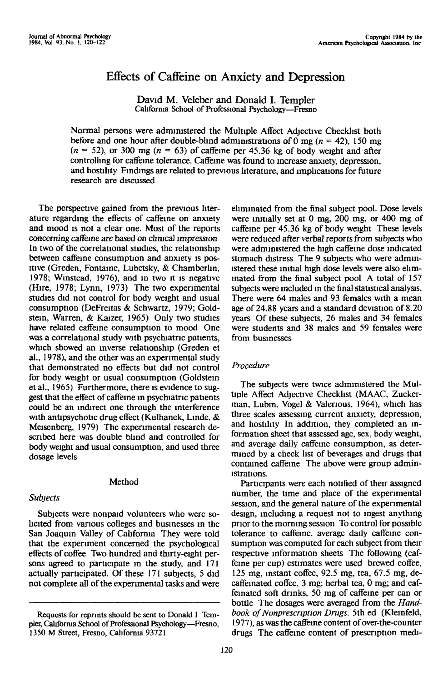# Effects of Caffeine on Anxiety and Depression

David M. Veleber and Donald I. Templer California School of Professional Psychology—Fresno

Normal persons were administered the Multiple Affect Adjective Checklist both before and one hour after double-blind administrations of 0 mg ( $n = 42$ ), 150 mg  $(n = 52)$ , or 300 mg  $(n = 63)$  of caffeine per 45.36 kg of body weight and after controlling for caffeine tolerance. Caffeine was found to increase anxiety, depression, and hostility Findings are related to previous literature, and implications for future research are discussed

The perspective gained from the previous literature regarding the effects of caffeine on anxiety and mood is not a clear one. Most of the reports concerning caffeine are based on clinical impression In two of the correlational studies, the relationship between caffeine consumption and anxiety is positive (Greden, Fontaine, Lubetsky, & Chamberun, 1978; Winstead, 1976), and in two it is negative (Hire, 1978; Lynn, 1973) The two experimental studies did not control for body weight and usual consumption (DeFreitas & Schwartz, 1979; Goldstem, Warren, & Kaizer, 1965) Only two studies have related caffeine consumption to mood One was a correlational study with psychiatric patients, which showed an inverse relationship (Greden et al., 1978), and the other was an experimental study that demonstrated no effects but did not control for body weight or usual consumption (Goldstein etal., 1965) Furthermore, there is evidence to suggest that the effect of caffeine in psychiatric patients could be an indirect one through the interference with antipsychotic drug effect (Kulhanek, Linde, & Meisenberg, 1979) The experimental research described here was double blind and controlled for body weight and usual consumption, and used three dosage levels

## Method

## *Subjects*

Subjects were nonpaid volunteers who were solicited from various colleges and businesses in the San Joaquin Valley of California They were told that the experiment concerned the psychological effects of coffee Two hundred and thirty-eight persons agreed to participate in the study, and 171 actually participated. Of these 171 subjects, 5 did not complete all of the experimental tasks and were

eliminated from the final subject pool. Dose levels were initially set at 0 mg, 200 mg, or 400 mg of caffeine per 45.36 kg of body weight These levels were reduced after verbal reports from subjects who were administered the high caffeine dose indicated stomach distress The 9 subjects who were administered these initial high dose levels were also eliminated from the final subject pool A total of 157 subjects were included in the final statistical analysis. There were 64 males and 93 females with a mean age of 24.88 years and a standard deviation of 8.20 years Of these subjects, 26 males and 34 females were students and 38 males and 59 females were from businesses

# *Procedure*

The subjects were twice administered the Multiple Affect Adjective Checklist (MAAC, Zuckerman, Lubm, Vogel & Valenous, 1964), which has three scales assessing current anxiety, depression, and hostility In addition, they completed an information sheet that assessed age, sex, body weight, and average daily caffeine consumption, as determined by a check list of beverages and drugs that contained caffeine The above were group administrations.

Participants were each notified of their assigned number, the time and place of the experimental session, and the general nature of the experimental design, including a request not to ingest anything prior to the morning session To control for possible tolerance to caffeine, average daily caffeine consumption was computed for each subject from their respective information sheets The following (caffeine per cup) estimates were used brewed coffee, 125 mg, instant coffee, 92.5 mg, tea, 67.5 mg, decaffeinated coffee, 3 mg; herbal tea, 0 mg; and caffemated soft drinks, 50 mg of caffeine per can or bottle The dosages were averaged from the *Hand*book of Nonprescription Drugs, 5th ed (Kleinfeld, 1977), as was the caffeine content of over-the-counter drugs The caffeine content of prescription medi-

Requests for reprints should be sent to Donald I Templer, California School of Professional Psychology-Fresno, 1350 M Street, Fresno, California 93721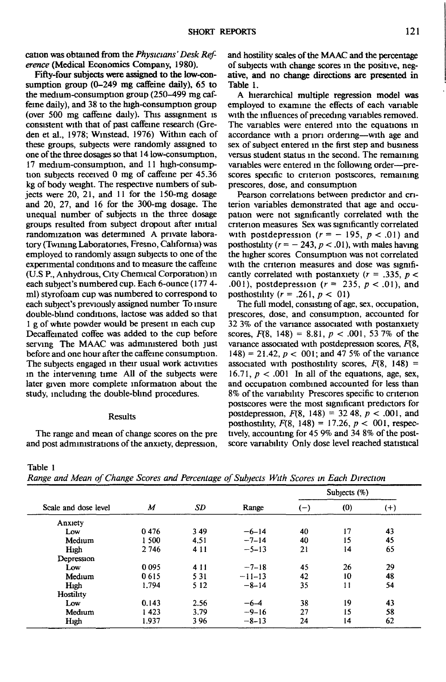cation was obtained from the *Physicians' Desk Reference* (Medical Economics Company, 1980).

Fifty-four subjects were assigned to the low-consumption group (0-249 mg caffeine daily), 65 to the medium-consumption group (250-499 mg caffeine daily), and 38 to the high-consumption group (over 500 mg caffeine daily). This assignment is consistent with that of past caffeine research (Greden et al., 1978; Wmstead, 1976) Within each of these groups, subjects were randomly assigned to one of the three dosages so that 14 low-consumption, 17 medium-consumption, and 11 high-consumption subjects received 0 mg of caffeine per 45.36 kg of body weight. The respective numbers of subjects were 20, 21, and 11 for the 150-mg dosage and 20, 27, and 16 for the 300-mg dosage. The unequal number of subjects in the three dosage groups resulted from subject dropout after initial randomization was determined A private laboratory (Twining Laboratories, Fresno, California) was employed to randomly assign subjects to one of the experimental conditions and to measure the caffeine (U.S P., Anhydrous, City Chemical Corporation) in each subject's numbered cup. Each 6-ounce (177 4 ml) styrofoam cup was numbered to correspond to each subject's previously assigned number To insure double-blind conditions, lactose was added so that 1 g of white powder would be present m each cup Decaffeinated coffee was added to the cup before serving The MAAC was administered both just before and one hour after the caffeine consumption. The subjects engaged in their usual work activities in the intervening time All of the subjects were later given more complete information about the study, including the double-blind procedures.

#### Results

The range and mean of change scores on the pre and post administrations of the anxiety, depression, and hostility scales of the MAAC and the percentage of subjects with change scores in the positive, negative, and no change directions are presented in Table 1.

A hierarchical multiple regression model was employed to examine the effects of each variable with the influences of preceding variables removed. The variables were entered into the equations in accordance with a priori ordering—with age and sex of subject entered in the first step and business versus student status in the second. The remaining variables were entered in the following order—prescores specific to criterion postscores, remaining prescores, dose, and consumption

Pearson correlations between predictor and criterion variables demonstrated that age and occupation were not significantly correlated with the criterion measures Sex was significantly correlated with postdepression  $(r = -195, p < .01)$  and posthostihty ( $r = -243$ ,  $p < .01$ ), with males having the higher scores Consumption was not correlated with the criterion measures and dose was significantly correlated with postanxiety (r = .335, *p <* .001), postdepression (r = 235, *p <* .01), and posthostility  $(r = .261, p < 01)$ 

The full model, consisting of age, sex, occupation, prescores, dose, and consumption, accounted for 32 3% of the variance associated with postanxiety scores, *F{&,* 148) = 8.81, *p <* .001, 53 7% of the variance associated with postdepression scores, *F\&,* 148) = 21.42, *p <* 001; and 47 5% of the variance associated with posthostility scores,  $F(8, 148) =$ 16.71,  $p < .001$  In all of the equations, age, sex, and occupation combined accounted for less than 8% of the variability Prescores specific to criterion postscores were the most significant predictors for postdepression,  $F(8, 148) = 32,48, p < .001$ , and posthostility,  $F(8, 148) = 17.26$ ,  $p < 001$ , respectively, accounting for 45 9% and 34 8% of the postscore variability Only dose level reached statistical

#### Table 1

*Range and Mean of Change Scores and Percentage of Subjects With Scores in Each Direction*

| Scale and dose level | $\boldsymbol{M}$ | SD    | Range    | Subjects $(\%)$ |     |          |
|----------------------|------------------|-------|----------|-----------------|-----|----------|
|                      |                  |       |          | $(-)$           | (0) | $^{(+)}$ |
| Anxiety              |                  |       |          |                 |     |          |
| Low                  | 0476             | 349   | $-6-14$  | 40              | 17  | 43       |
| Medium               | 1 500            | 4.51  | $-7-14$  | 40              | 15  | 45       |
| High                 | 2746             | 4 1 1 | $-5-13$  | 21              | 14  | 65       |
| Depression           |                  |       |          |                 |     |          |
| Low                  | 0095             | 4 1 1 | $-7-18$  | 45              | 26  | 29       |
| Medium               | 0615             | 5 3 1 | $-11-13$ | 42              | 10  | 48       |
| High                 | 1.794            | 5 1 2 | $-8-14$  | 35              | 11  | 54       |
| Hostility            |                  |       |          |                 |     |          |
| Low                  | 0.143            | 2.56  | $-6-4$   | 38              | 19  | 43       |
| Medium               | 1423             | 3.79  | $-9-16$  | 27              | 15  | 58       |
| High                 | 1.937            | 396   | $-8-13$  | 24              | 14  | 62       |